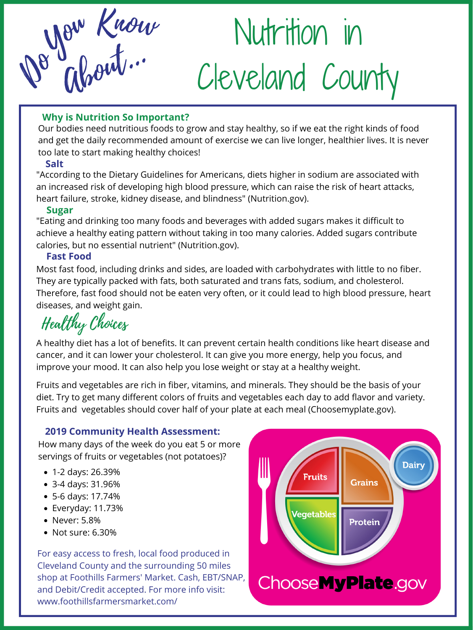Our bodies need nutritious foods to grow and stay healthy, so if we eat the right kinds of food and get the daily recommended amount of exercise we can live longer, healthier lives. It is never too late to start making healthy choices!

Nutrition in Ab Cleveland County out... De Glorit.

# **Why is Nutrition So Important?**

#### **Salt**

"According to the Dietary Guidelines for Americans, diets higher in sodium are associated with an increased risk of developing high blood pressure, which can raise the risk of heart attacks, heart failure, stroke, kidney disease, and blindness" (Nutrition.gov).

#### **Sugar**

Healthy Choices

"Eating and drinking too many foods and beverages with added sugars makes it difficult to achieve a healthy eating pattern without taking in too many calories. Added sugars contribute calories, but no essential nutrient" (Nutrition.gov).

# **Fast Food**

Most fast food, including drinks and sides, are loaded with carbohydrates with little to no fiber. They are typically packed with fats, both saturated and trans fats, sodium, and cholesterol. Therefore, fast food should not be eaten very often, or it could lead to high blood pressure, heart diseases, and weight gain.

- 1-2 days: 26.39%
- 3-4 days: 31.96%
- 5-6 days: 17.74%
- Everyday: 11.73%
- Never: 5.8%
- Not sure: 6.30%

Fruits and vegetables are rich in fiber, vitamins, and minerals. They should be the basis of your diet. Try to get many different colors of fruits and vegetables each day to add flavor and variety. Fruits and vegetables should cover half of your plate at each meal (Choosemyplate.gov).

A healthy diet has a lot of benefits. It can prevent certain health conditions like heart disease and cancer, and it can lower your cholesterol. It can give you more energy, help you focus, and improve your mood. It can also help you lose weight or stay at a healthy weight.

For easy access to fresh, local food produced in Cleveland County and the surrounding 50 miles shop at Foothills Farmers' Market. Cash, EBT/SNAP, and Debit/Credit accepted. For more info visit: www.foothillsfarmersmarket.com/



# **2019 Community Health Assessment:**

How many days of the week do you eat 5 or more servings of fruits or vegetables (not potatoes)?